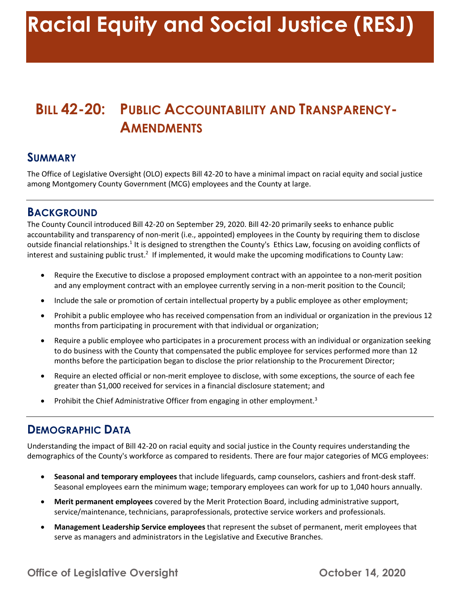## **BILL 42-20: PUBLIC ACCOUNTABILITY AND TRANSPARENCY-AMENDMENTS**

### **SUMMARY**

 The Office of Legislative Oversight (OLO) expects Bill 42-20 to have a minimal impact on racial equity and social justice among Montgomery County Government (MCG) employees and the County at large.

#### **BACKGROUND**

 The County Council introduced Bill 42-20 on September 29, 2020. Bill 42-20 primarily seeks to enhance public accountability and transparency of non-merit (i.e., appointed) employees in the County by requiring them to disclose outside financial relationships.<sup>1</sup> It is designed to strengthen the County's Ethics Law, focusing on avoiding conflicts of interest and sustaining public trust.<sup>2</sup> If implemented, it would make the upcoming modifications to County Law:

- • Require the Executive to disclose a proposed employment contract with an appointee to a non-merit position and any employment contract with an employee currently serving in a non-merit position to the Council;
- Include the sale or promotion of certain intellectual property by a public employee as other employment;
- months from participating in procurement with that individual or organization; • Prohibit a public employee who has received compensation from an individual or organization in the previous 12
- • Require a public employee who participates in a procurement process with an individual or organization seeking to do business with the County that compensated the public employee for services performed more than 12 months before the participation began to disclose the prior relationship to the Procurement Director;
- • Require an elected official or non-merit employee to disclose, with some exceptions, the source of each fee greater than \$1,000 received for services in a financial disclosure statement; and
- Prohibit the Chief Administrative Officer from engaging in other employment.<sup>3</sup>

### **DEMOGRAPHIC DATA**

 Understanding the impact of Bill 42-20 on racial equity and social justice in the County requires understanding the demographics of the County's workforce as compared to residents. There are four major categories of MCG employees:

- • **Seasonal and temporary employees** that include lifeguards, camp counselors, cashiers and front-desk staff. Seasonal employees earn the minimum wage; temporary employees can work for up to 1,040 hours annually.
- service/maintenance, technicians, paraprofessionals, protective service workers and professionals. • **Merit permanent employees** covered by the Merit Protection Board, including administrative support,
- **Management Leadership Service employees** that represent the subset of permanent, merit employees that serve as managers and administrators in the Legislative and Executive Branches.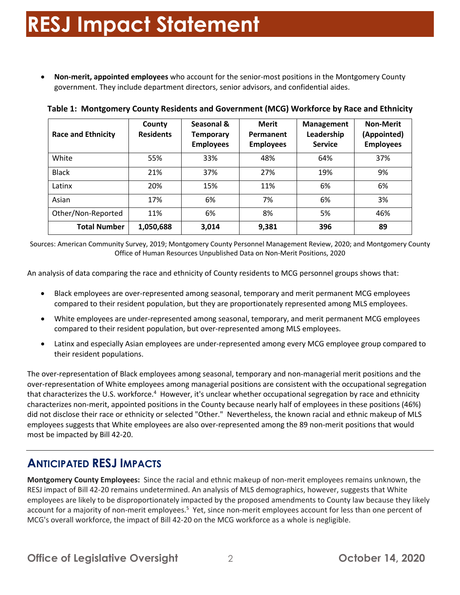• **Non-merit, appointed employees** who account for the senior-most positions in the Montgomery County government. They include department directors, senior advisors, and confidential aides.

| <b>Race and Ethnicity</b> | County<br><b>Residents</b> | Seasonal &<br>Temporary<br><b>Employees</b> | <b>Merit</b><br>Permanent<br><b>Employees</b> | Management<br>Leadership<br><b>Service</b> | <b>Non-Merit</b><br>(Appointed)<br><b>Employees</b> |
|---------------------------|----------------------------|---------------------------------------------|-----------------------------------------------|--------------------------------------------|-----------------------------------------------------|
| White                     | 55%                        | 33%                                         | 48%                                           | 64%                                        | 37%                                                 |
| <b>Black</b>              | 21%                        | 37%                                         | 27%                                           | 19%                                        | 9%                                                  |
| Latinx                    | 20%                        | 15%                                         | 11%                                           | 6%                                         | 6%                                                  |
| Asian                     | 17%                        | 6%                                          | 7%                                            | 6%                                         | 3%                                                  |
| Other/Non-Reported        | 11%                        | 6%                                          | 8%                                            | 5%                                         | 46%                                                 |
| <b>Total Number</b>       | 1,050,688                  | 3,014                                       | 9,381                                         | 396                                        | 89                                                  |

 **Table 1: Montgomery County Residents and Government (MCG) Workforce by Race and Ethnicity** 

 Sources: American Community Survey, 2019; Montgomery County Personnel Management Review, 2020; and Montgomery County Office of Human Resources Unpublished Data on Non-Merit Positions, 2020

An analysis of data comparing the race and ethnicity of County residents to MCG personnel groups shows that:

- • Black employees are over-represented among seasonal, temporary and merit permanent MCG employees compared to their resident population, but they are proportionately represented among MLS employees.
- • White employees are under-represented among seasonal, temporary, and merit permanent MCG employees compared to their resident population, but over-represented among MLS employees.
- • Latinx and especially Asian employees are under-represented among every MCG employee group compared to their resident populations.

 The over-representation of Black employees among seasonal, temporary and non-managerial merit positions and the over-representation of White employees among managerial positions are consistent with the occupational segregation that characterizes the U.S. workforce.<sup>4</sup> However, it's unclear whether occupational segregation by race and ethnicity characterizes non-merit, appointed positions in the County because nearly half of employees in these positions (46%) did not disclose their race or ethnicity or selected "Other." Nevertheless, the known racial and ethnic makeup of MLS employees suggests that White employees are also over-represented among the 89 non-merit positions that would most be impacted by Bill 42-20.

### **ANTICIPATED RESJ IMPACTS**

 **Montgomery County Employees:** Since the racial and ethnic makeup of non-merit employees remains unknown, the RESJ impact of Bill 42-20 remains undetermined. An analysis of MLS demographics, however, suggests that White employees are likely to be disproportionately impacted by the proposed amendments to County law because they likely account for a majority of non-merit employees.<sup>5</sup> Yet, since non-merit employees account for less than one percent of MCG's overall workforce, the impact of Bill 42-20 on the MCG workforce as a whole is negligible.